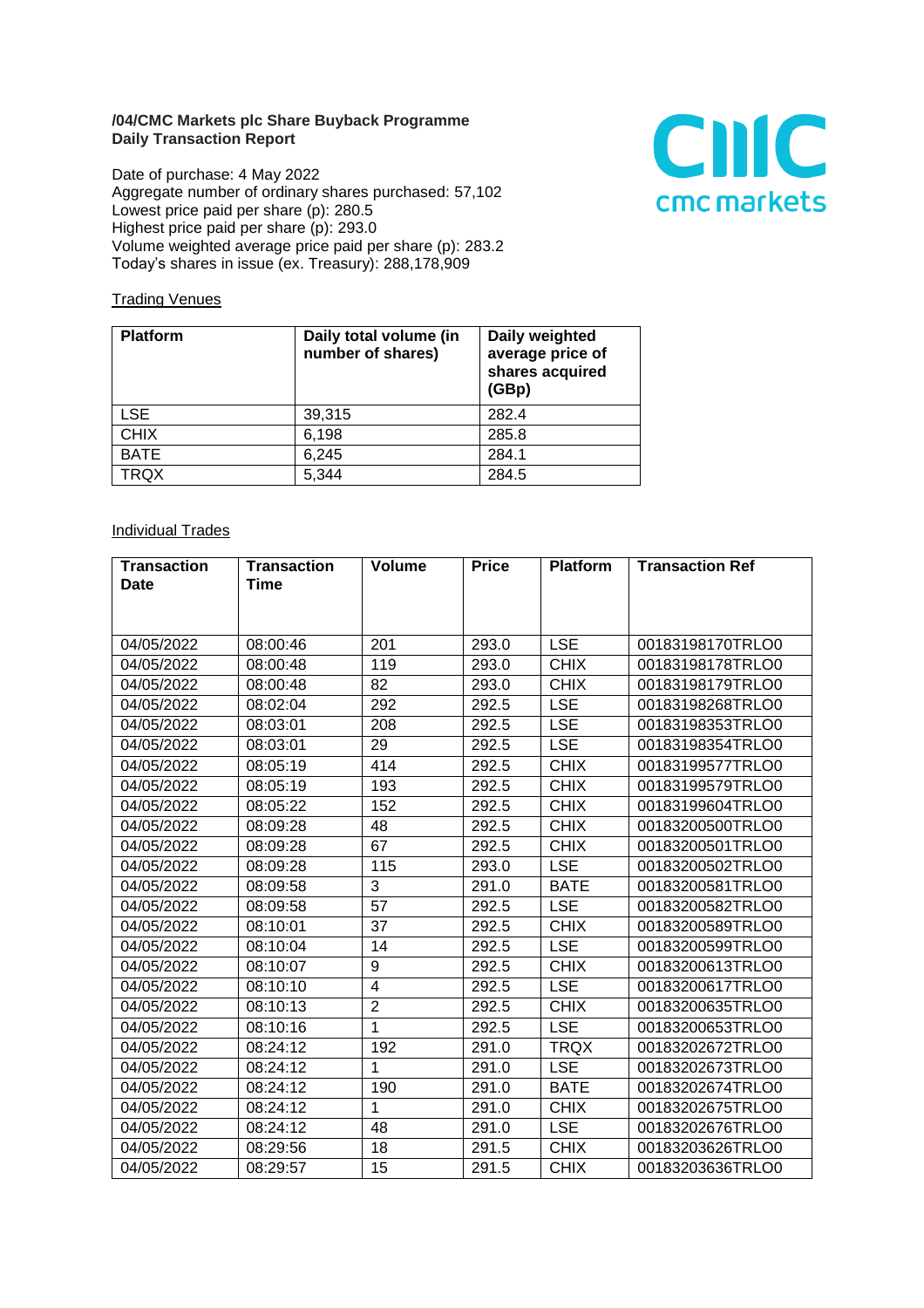## **/04/CMC Markets plc Share Buyback Programme Daily Transaction Report**

Date of purchase: 4 May 2022 Aggregate number of ordinary shares purchased: 57,102 Lowest price paid per share (p): 280.5 Highest price paid per share (p): 293.0 Volume weighted average price paid per share (p): 283.2 Today's shares in issue (ex. Treasury): 288,178,909



## **Trading Venues**

| <b>Platform</b> | Daily total volume (in<br>number of shares) | Daily weighted<br>average price of<br>shares acquired<br>(GBp) |
|-----------------|---------------------------------------------|----------------------------------------------------------------|
| <b>LSE</b>      | 39,315                                      | 282.4                                                          |
| <b>CHIX</b>     | 6,198                                       | 285.8                                                          |
| <b>BATE</b>     | 6,245                                       | 284.1                                                          |
| <b>TRQX</b>     | 5,344                                       | 284.5                                                          |

## **Individual Trades**

| <b>Transaction</b> | <b>Transaction</b> | Volume         | <b>Price</b> | <b>Platform</b> | <b>Transaction Ref</b> |
|--------------------|--------------------|----------------|--------------|-----------------|------------------------|
| <b>Date</b>        | Time               |                |              |                 |                        |
|                    |                    |                |              |                 |                        |
| 04/05/2022         | 08:00:46           | 201            | 293.0        | <b>LSE</b>      | 00183198170TRLO0       |
| 04/05/2022         | 08:00:48           | 119            | 293.0        | <b>CHIX</b>     | 00183198178TRLO0       |
| 04/05/2022         | 08:00:48           | 82             | 293.0        | <b>CHIX</b>     | 00183198179TRLO0       |
| 04/05/2022         | 08:02:04           | 292            | 292.5        | <b>LSE</b>      | 00183198268TRLO0       |
| 04/05/2022         | 08:03:01           | 208            | 292.5        | <b>LSE</b>      | 00183198353TRLO0       |
| 04/05/2022         | 08:03:01           | 29             | 292.5        | <b>LSE</b>      | 00183198354TRLO0       |
| 04/05/2022         | 08:05:19           | 414            | 292.5        | <b>CHIX</b>     | 00183199577TRLO0       |
| 04/05/2022         | 08:05:19           | 193            | 292.5        | <b>CHIX</b>     | 00183199579TRLO0       |
| 04/05/2022         | 08:05:22           | 152            | 292.5        | <b>CHIX</b>     | 00183199604TRLO0       |
| 04/05/2022         | 08:09:28           | 48             | 292.5        | <b>CHIX</b>     | 00183200500TRLO0       |
| 04/05/2022         | 08:09:28           | 67             | 292.5        | <b>CHIX</b>     | 00183200501TRLO0       |
| 04/05/2022         | 08:09:28           | 115            | 293.0        | <b>LSE</b>      | 00183200502TRLO0       |
| 04/05/2022         | 08:09:58           | 3              | 291.0        | <b>BATE</b>     | 00183200581TRLO0       |
| 04/05/2022         | 08:09:58           | 57             | 292.5        | <b>LSE</b>      | 00183200582TRLO0       |
| 04/05/2022         | 08:10:01           | 37             | 292.5        | <b>CHIX</b>     | 00183200589TRLO0       |
| 04/05/2022         | 08:10:04           | 14             | 292.5        | <b>LSE</b>      | 00183200599TRLO0       |
| 04/05/2022         | 08:10:07           | 9              | 292.5        | <b>CHIX</b>     | 00183200613TRLO0       |
| 04/05/2022         | 08:10:10           | $\overline{4}$ | 292.5        | <b>LSE</b>      | 00183200617TRLO0       |
| 04/05/2022         | 08:10:13           | $\overline{2}$ | 292.5        | <b>CHIX</b>     | 00183200635TRLO0       |
| 04/05/2022         | 08:10:16           | 1              | 292.5        | <b>LSE</b>      | 00183200653TRLO0       |
| 04/05/2022         | 08:24:12           | 192            | 291.0        | <b>TRQX</b>     | 00183202672TRLO0       |
| 04/05/2022         | 08:24:12           | 1              | 291.0        | <b>LSE</b>      | 00183202673TRLO0       |
| 04/05/2022         | 08:24:12           | 190            | 291.0        | <b>BATE</b>     | 00183202674TRLO0       |
| 04/05/2022         | 08:24:12           | 1              | 291.0        | <b>CHIX</b>     | 00183202675TRLO0       |
| 04/05/2022         | 08:24:12           | 48             | 291.0        | <b>LSE</b>      | 00183202676TRLO0       |
| 04/05/2022         | 08:29:56           | 18             | 291.5        | <b>CHIX</b>     | 00183203626TRLO0       |
| 04/05/2022         | 08:29:57           | 15             | 291.5        | <b>CHIX</b>     | 00183203636TRLO0       |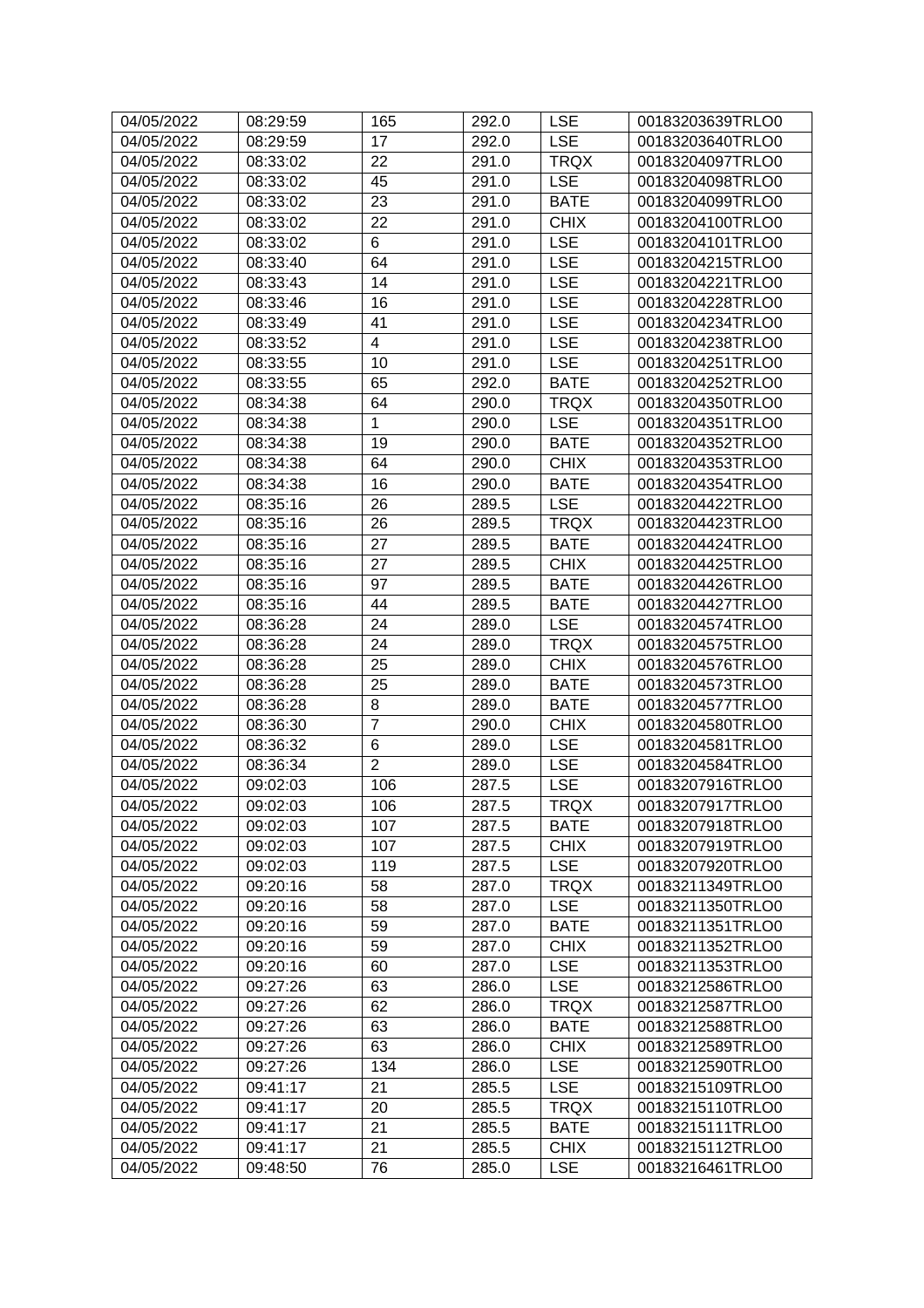| 04/05/2022 | 08:29:59 | 165            | 292.0 | <b>LSE</b>  | 00183203639TRLO0 |
|------------|----------|----------------|-------|-------------|------------------|
| 04/05/2022 | 08:29:59 | 17             | 292.0 | <b>LSE</b>  | 00183203640TRLO0 |
| 04/05/2022 | 08:33:02 | 22             | 291.0 | <b>TRQX</b> | 00183204097TRLO0 |
| 04/05/2022 | 08:33:02 | 45             | 291.0 | <b>LSE</b>  | 00183204098TRLO0 |
| 04/05/2022 | 08:33:02 | 23             | 291.0 | <b>BATE</b> | 00183204099TRLO0 |
| 04/05/2022 | 08:33:02 | 22             | 291.0 | <b>CHIX</b> | 00183204100TRLO0 |
| 04/05/2022 | 08:33:02 | 6              | 291.0 | <b>LSE</b>  | 00183204101TRLO0 |
| 04/05/2022 | 08:33:40 | 64             | 291.0 | <b>LSE</b>  | 00183204215TRLO0 |
| 04/05/2022 | 08:33:43 | 14             | 291.0 | <b>LSE</b>  | 00183204221TRLO0 |
| 04/05/2022 | 08:33:46 | 16             | 291.0 | <b>LSE</b>  | 00183204228TRLO0 |
| 04/05/2022 | 08:33:49 | 41             | 291.0 | <b>LSE</b>  | 00183204234TRLO0 |
| 04/05/2022 | 08:33:52 | 4              | 291.0 | <b>LSE</b>  | 00183204238TRLO0 |
| 04/05/2022 | 08:33:55 | 10             | 291.0 | <b>LSE</b>  | 00183204251TRLO0 |
| 04/05/2022 | 08:33:55 | 65             | 292.0 | <b>BATE</b> | 00183204252TRLO0 |
| 04/05/2022 | 08:34:38 | 64             | 290.0 | <b>TRQX</b> | 00183204350TRLO0 |
| 04/05/2022 | 08:34:38 | $\mathbf{1}$   | 290.0 | <b>LSE</b>  | 00183204351TRLO0 |
| 04/05/2022 | 08:34:38 | 19             | 290.0 | <b>BATE</b> | 00183204352TRLO0 |
| 04/05/2022 | 08:34:38 | 64             | 290.0 | <b>CHIX</b> | 00183204353TRLO0 |
| 04/05/2022 | 08:34:38 | 16             | 290.0 | <b>BATE</b> | 00183204354TRLO0 |
| 04/05/2022 | 08:35:16 | 26             | 289.5 | <b>LSE</b>  | 00183204422TRLO0 |
| 04/05/2022 | 08:35:16 | 26             | 289.5 | <b>TRQX</b> | 00183204423TRLO0 |
| 04/05/2022 | 08:35:16 | 27             | 289.5 | <b>BATE</b> | 00183204424TRLO0 |
| 04/05/2022 | 08:35:16 | 27             | 289.5 | <b>CHIX</b> | 00183204425TRLO0 |
| 04/05/2022 | 08:35:16 | 97             | 289.5 | <b>BATE</b> | 00183204426TRLO0 |
| 04/05/2022 | 08:35:16 | 44             | 289.5 | <b>BATE</b> | 00183204427TRLO0 |
| 04/05/2022 | 08:36:28 | 24             | 289.0 | <b>LSE</b>  | 00183204574TRLO0 |
| 04/05/2022 | 08:36:28 | 24             | 289.0 | <b>TRQX</b> | 00183204575TRLO0 |
| 04/05/2022 | 08:36:28 | 25             | 289.0 | <b>CHIX</b> | 00183204576TRLO0 |
| 04/05/2022 | 08:36:28 | 25             | 289.0 | <b>BATE</b> | 00183204573TRLO0 |
| 04/05/2022 | 08:36:28 | 8              | 289.0 | <b>BATE</b> | 00183204577TRLO0 |
| 04/05/2022 | 08:36:30 | $\overline{7}$ | 290.0 | <b>CHIX</b> | 00183204580TRLO0 |
| 04/05/2022 | 08:36:32 | 6              | 289.0 | <b>LSE</b>  | 00183204581TRLO0 |
| 04/05/2022 | 08:36:34 | $\overline{2}$ | 289.0 | <b>LSE</b>  | 00183204584TRLO0 |
| 04/05/2022 | 09:02:03 | 106            | 287.5 | <b>LSE</b>  | 00183207916TRLO0 |
| 04/05/2022 | 09:02:03 | 106            | 287.5 | <b>TRQX</b> | 00183207917TRLO0 |
| 04/05/2022 | 09:02:03 | 107            | 287.5 | <b>BATE</b> | 00183207918TRLO0 |
| 04/05/2022 | 09:02:03 | 107            | 287.5 | <b>CHIX</b> | 00183207919TRLO0 |
| 04/05/2022 | 09:02:03 | 119            | 287.5 | <b>LSE</b>  | 00183207920TRLO0 |
| 04/05/2022 | 09:20:16 | 58             | 287.0 | <b>TRQX</b> | 00183211349TRLO0 |
| 04/05/2022 | 09:20:16 | 58             | 287.0 | <b>LSE</b>  | 00183211350TRLO0 |
| 04/05/2022 | 09:20:16 | 59             | 287.0 | <b>BATE</b> | 00183211351TRLO0 |
| 04/05/2022 | 09:20:16 | 59             | 287.0 | <b>CHIX</b> | 00183211352TRLO0 |
| 04/05/2022 | 09:20:16 | 60             | 287.0 | <b>LSE</b>  | 00183211353TRLO0 |
| 04/05/2022 | 09:27:26 | 63             | 286.0 | <b>LSE</b>  | 00183212586TRLO0 |
| 04/05/2022 | 09:27:26 | 62             | 286.0 | <b>TRQX</b> | 00183212587TRLO0 |
| 04/05/2022 | 09:27:26 | 63             | 286.0 | <b>BATE</b> | 00183212588TRLO0 |
| 04/05/2022 | 09:27:26 | 63             | 286.0 | <b>CHIX</b> | 00183212589TRLO0 |
| 04/05/2022 | 09:27:26 | 134            | 286.0 | <b>LSE</b>  | 00183212590TRLO0 |
| 04/05/2022 | 09:41:17 | 21             | 285.5 | <b>LSE</b>  | 00183215109TRLO0 |
| 04/05/2022 | 09:41:17 | 20             | 285.5 | <b>TRQX</b> | 00183215110TRLO0 |
| 04/05/2022 | 09:41:17 | 21             | 285.5 | <b>BATE</b> | 00183215111TRLO0 |
| 04/05/2022 | 09:41:17 | 21             | 285.5 | <b>CHIX</b> | 00183215112TRLO0 |
| 04/05/2022 | 09:48:50 | 76             | 285.0 | <b>LSE</b>  | 00183216461TRLO0 |
|            |          |                |       |             |                  |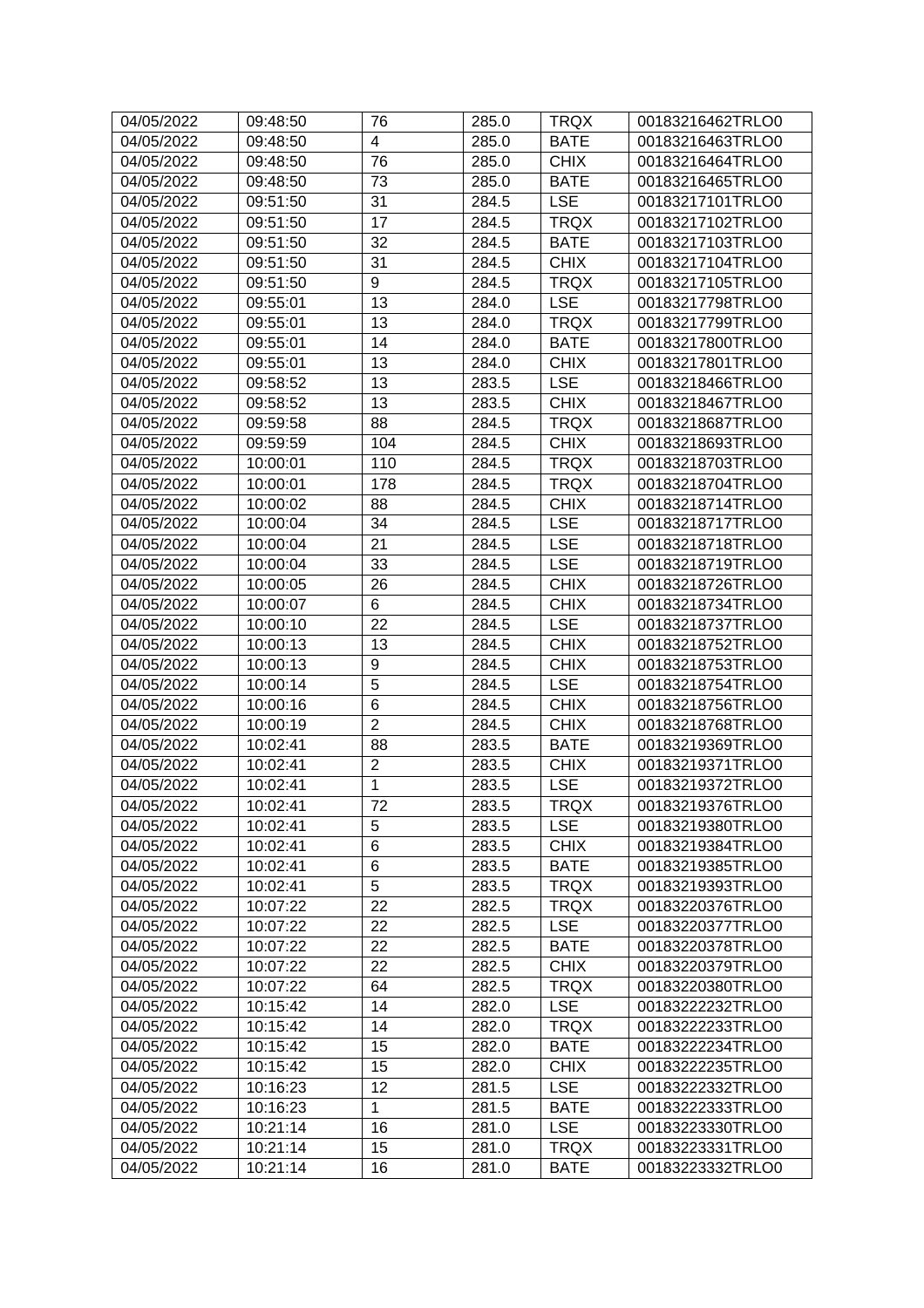| 04/05/2022 | 09:48:50 | 76             | 285.0 | <b>TRQX</b> | 00183216462TRLO0 |
|------------|----------|----------------|-------|-------------|------------------|
| 04/05/2022 | 09:48:50 | 4              | 285.0 | <b>BATE</b> | 00183216463TRLO0 |
| 04/05/2022 | 09:48:50 | 76             | 285.0 | <b>CHIX</b> | 00183216464TRLO0 |
| 04/05/2022 | 09:48:50 | 73             | 285.0 | <b>BATE</b> | 00183216465TRLO0 |
| 04/05/2022 | 09:51:50 | 31             | 284.5 | <b>LSE</b>  | 00183217101TRLO0 |
| 04/05/2022 | 09:51:50 | 17             | 284.5 | <b>TRQX</b> | 00183217102TRLO0 |
| 04/05/2022 | 09:51:50 | 32             | 284.5 | <b>BATE</b> | 00183217103TRLO0 |
| 04/05/2022 | 09:51:50 | 31             | 284.5 | <b>CHIX</b> | 00183217104TRLO0 |
| 04/05/2022 | 09:51:50 | 9              | 284.5 | <b>TRQX</b> | 00183217105TRLO0 |
| 04/05/2022 | 09:55:01 | 13             | 284.0 | <b>LSE</b>  | 00183217798TRLO0 |
| 04/05/2022 | 09:55:01 | 13             | 284.0 | <b>TRQX</b> | 00183217799TRLO0 |
| 04/05/2022 | 09:55:01 | 14             | 284.0 | <b>BATE</b> | 00183217800TRLO0 |
| 04/05/2022 | 09:55:01 | 13             | 284.0 | <b>CHIX</b> | 00183217801TRLO0 |
| 04/05/2022 | 09:58:52 | 13             | 283.5 | <b>LSE</b>  | 00183218466TRLO0 |
| 04/05/2022 | 09:58:52 | 13             | 283.5 | <b>CHIX</b> | 00183218467TRLO0 |
| 04/05/2022 | 09:59:58 | 88             | 284.5 | <b>TRQX</b> | 00183218687TRLO0 |
| 04/05/2022 | 09:59:59 | 104            | 284.5 | <b>CHIX</b> | 00183218693TRLO0 |
| 04/05/2022 | 10:00:01 | 110            | 284.5 | <b>TRQX</b> | 00183218703TRLO0 |
| 04/05/2022 | 10:00:01 | 178            | 284.5 | <b>TRQX</b> | 00183218704TRLO0 |
| 04/05/2022 | 10:00:02 | 88             | 284.5 | <b>CHIX</b> | 00183218714TRLO0 |
| 04/05/2022 | 10:00:04 | 34             | 284.5 | <b>LSE</b>  | 00183218717TRLO0 |
| 04/05/2022 | 10:00:04 | 21             | 284.5 | <b>LSE</b>  | 00183218718TRLO0 |
| 04/05/2022 | 10:00:04 | 33             | 284.5 | <b>LSE</b>  | 00183218719TRLO0 |
| 04/05/2022 | 10:00:05 | 26             | 284.5 | <b>CHIX</b> | 00183218726TRLO0 |
| 04/05/2022 | 10:00:07 | 6              | 284.5 | <b>CHIX</b> | 00183218734TRLO0 |
| 04/05/2022 | 10:00:10 | 22             | 284.5 | <b>LSE</b>  | 00183218737TRLO0 |
| 04/05/2022 | 10:00:13 | 13             | 284.5 | <b>CHIX</b> | 00183218752TRLO0 |
| 04/05/2022 | 10:00:13 | 9              | 284.5 | <b>CHIX</b> | 00183218753TRLO0 |
| 04/05/2022 | 10:00:14 | 5              | 284.5 | <b>LSE</b>  | 00183218754TRLO0 |
| 04/05/2022 | 10:00:16 | 6              | 284.5 | <b>CHIX</b> | 00183218756TRLO0 |
| 04/05/2022 | 10:00:19 | $\overline{2}$ | 284.5 | <b>CHIX</b> | 00183218768TRLO0 |
| 04/05/2022 | 10:02:41 | 88             | 283.5 | <b>BATE</b> | 00183219369TRLO0 |
| 04/05/2022 | 10:02:41 | $\overline{2}$ | 283.5 | <b>CHIX</b> | 00183219371TRLO0 |
| 04/05/2022 | 10:02:41 | 1              | 283.5 | <b>LSE</b>  | 00183219372TRLO0 |
| 04/05/2022 | 10:02:41 | 72             | 283.5 | <b>TRQX</b> | 00183219376TRLO0 |
| 04/05/2022 | 10:02:41 | 5              | 283.5 | <b>LSE</b>  | 00183219380TRLO0 |
| 04/05/2022 | 10:02:41 | 6              | 283.5 | <b>CHIX</b> | 00183219384TRLO0 |
| 04/05/2022 | 10:02:41 | 6              | 283.5 | <b>BATE</b> | 00183219385TRLO0 |
| 04/05/2022 | 10:02:41 | 5              | 283.5 | <b>TRQX</b> | 00183219393TRLO0 |
| 04/05/2022 | 10:07:22 | 22             | 282.5 | <b>TRQX</b> | 00183220376TRLO0 |
| 04/05/2022 | 10:07:22 | 22             | 282.5 | <b>LSE</b>  | 00183220377TRLO0 |
| 04/05/2022 | 10:07:22 | 22             | 282.5 | <b>BATE</b> | 00183220378TRLO0 |
| 04/05/2022 | 10:07:22 | 22             | 282.5 | <b>CHIX</b> | 00183220379TRLO0 |
| 04/05/2022 | 10:07:22 | 64             | 282.5 | <b>TRQX</b> | 00183220380TRLO0 |
| 04/05/2022 | 10:15:42 | 14             | 282.0 | <b>LSE</b>  | 00183222232TRLO0 |
| 04/05/2022 | 10:15:42 | 14             | 282.0 | <b>TRQX</b> | 00183222233TRLO0 |
| 04/05/2022 | 10:15:42 | 15             | 282.0 | <b>BATE</b> | 00183222234TRLO0 |
| 04/05/2022 | 10:15:42 | 15             | 282.0 | <b>CHIX</b> | 00183222235TRLO0 |
| 04/05/2022 | 10:16:23 | 12             | 281.5 | <b>LSE</b>  | 00183222332TRLO0 |
| 04/05/2022 | 10:16:23 | $\mathbf 1$    | 281.5 | <b>BATE</b> | 00183222333TRLO0 |
| 04/05/2022 | 10:21:14 | 16             | 281.0 | <b>LSE</b>  | 00183223330TRLO0 |
| 04/05/2022 | 10:21:14 | 15             | 281.0 | <b>TRQX</b> | 00183223331TRLO0 |
|            |          |                |       |             |                  |
| 04/05/2022 | 10:21:14 | 16             | 281.0 | <b>BATE</b> | 00183223332TRLO0 |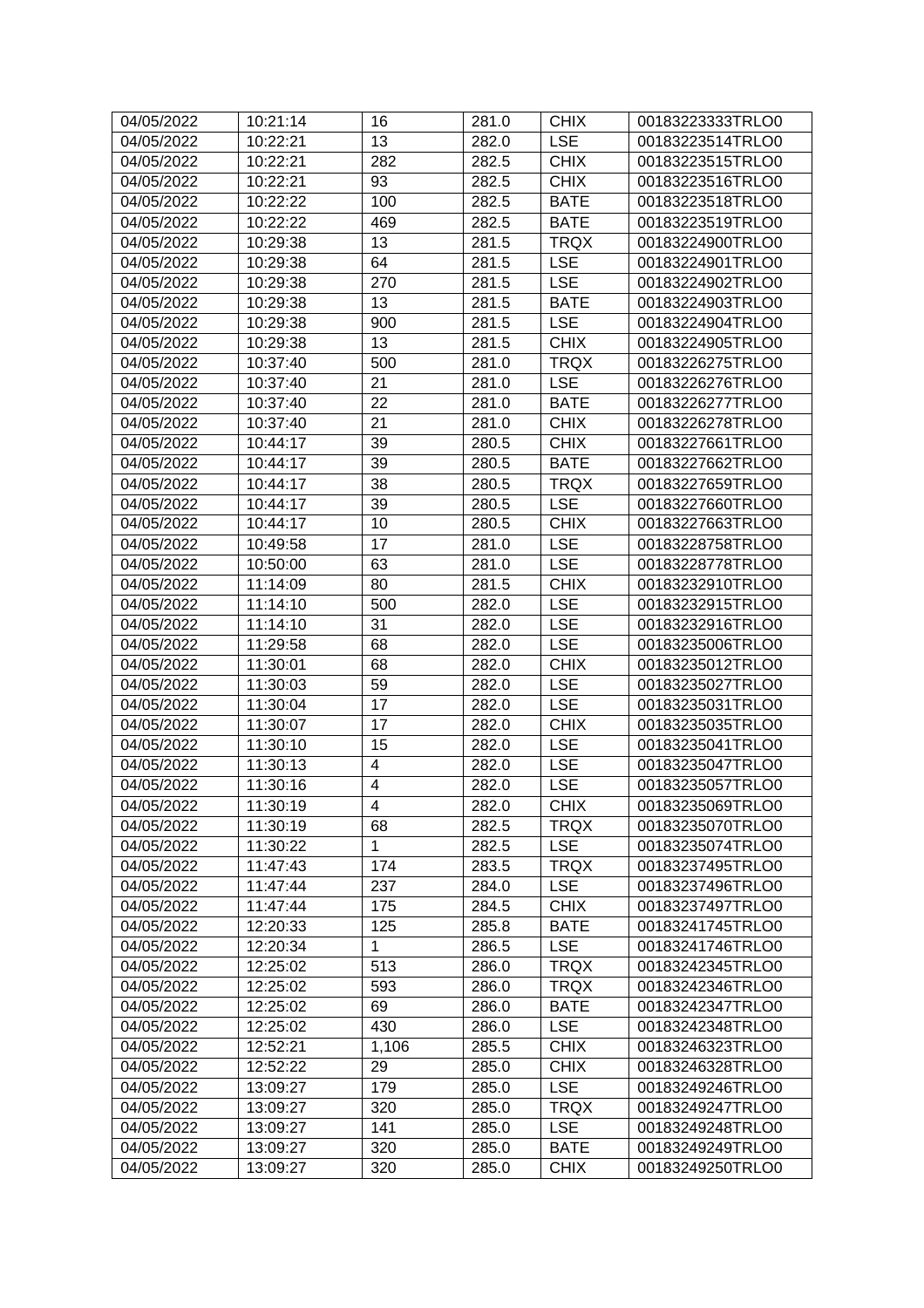| 04/05/2022 | 10:21:14 | 16                      | 281.0 | <b>CHIX</b> | 00183223333TRLO0 |
|------------|----------|-------------------------|-------|-------------|------------------|
| 04/05/2022 | 10:22:21 | 13                      | 282.0 | <b>LSE</b>  | 00183223514TRLO0 |
| 04/05/2022 | 10:22:21 | 282                     | 282.5 | <b>CHIX</b> | 00183223515TRLO0 |
| 04/05/2022 | 10:22:21 | 93                      | 282.5 | <b>CHIX</b> | 00183223516TRLO0 |
| 04/05/2022 | 10:22:22 | 100                     | 282.5 | <b>BATE</b> | 00183223518TRLO0 |
| 04/05/2022 | 10:22:22 | 469                     | 282.5 | <b>BATE</b> | 00183223519TRLO0 |
| 04/05/2022 | 10:29:38 | 13                      | 281.5 | <b>TRQX</b> | 00183224900TRLO0 |
| 04/05/2022 | 10:29:38 | 64                      | 281.5 | <b>LSE</b>  | 00183224901TRLO0 |
| 04/05/2022 | 10:29:38 | 270                     | 281.5 | <b>LSE</b>  | 00183224902TRLO0 |
| 04/05/2022 | 10:29:38 | 13                      | 281.5 | <b>BATE</b> | 00183224903TRLO0 |
| 04/05/2022 | 10:29:38 | 900                     | 281.5 | <b>LSE</b>  | 00183224904TRLO0 |
| 04/05/2022 | 10:29:38 | 13                      | 281.5 | <b>CHIX</b> | 00183224905TRLO0 |
| 04/05/2022 | 10:37:40 | 500                     | 281.0 | <b>TRQX</b> | 00183226275TRLO0 |
| 04/05/2022 | 10:37:40 | 21                      | 281.0 | <b>LSE</b>  | 00183226276TRLO0 |
| 04/05/2022 | 10:37:40 | 22                      | 281.0 | <b>BATE</b> | 00183226277TRLO0 |
| 04/05/2022 | 10:37:40 | 21                      | 281.0 | <b>CHIX</b> | 00183226278TRLO0 |
| 04/05/2022 | 10:44:17 | 39                      | 280.5 | <b>CHIX</b> | 00183227661TRLO0 |
| 04/05/2022 | 10:44:17 | 39                      | 280.5 | <b>BATE</b> | 00183227662TRLO0 |
| 04/05/2022 | 10:44:17 | 38                      | 280.5 | <b>TRQX</b> | 00183227659TRLO0 |
| 04/05/2022 | 10:44:17 | 39                      | 280.5 | <b>LSE</b>  | 00183227660TRLO0 |
| 04/05/2022 | 10:44:17 | 10                      | 280.5 | <b>CHIX</b> | 00183227663TRLO0 |
| 04/05/2022 | 10:49:58 | 17                      | 281.0 | <b>LSE</b>  | 00183228758TRLO0 |
| 04/05/2022 | 10:50:00 | 63                      | 281.0 | <b>LSE</b>  | 00183228778TRLO0 |
| 04/05/2022 | 11:14:09 | 80                      | 281.5 | <b>CHIX</b> | 00183232910TRLO0 |
| 04/05/2022 | 11:14:10 | 500                     | 282.0 | <b>LSE</b>  | 00183232915TRLO0 |
| 04/05/2022 | 11:14:10 | 31                      | 282.0 | <b>LSE</b>  | 00183232916TRLO0 |
| 04/05/2022 | 11:29:58 | 68                      | 282.0 | <b>LSE</b>  | 00183235006TRLO0 |
| 04/05/2022 | 11:30:01 | 68                      | 282.0 | <b>CHIX</b> | 00183235012TRLO0 |
| 04/05/2022 | 11:30:03 | 59                      | 282.0 | <b>LSE</b>  | 00183235027TRLO0 |
| 04/05/2022 | 11:30:04 | 17                      | 282.0 | <b>LSE</b>  | 00183235031TRLO0 |
| 04/05/2022 | 11:30:07 | 17                      | 282.0 | <b>CHIX</b> | 00183235035TRLO0 |
| 04/05/2022 | 11:30:10 | 15                      | 282.0 | <b>LSE</b>  | 00183235041TRLO0 |
| 04/05/2022 | 11:30:13 | 4                       | 282.0 | <b>LSE</b>  | 00183235047TRLO0 |
| 04/05/2022 | 11:30:16 | $\overline{\mathbf{4}}$ | 282.0 | <b>LSE</b>  | 00183235057TRLO0 |
| 04/05/2022 | 11:30:19 | $\overline{\mathbf{4}}$ | 282.0 | <b>CHIX</b> | 00183235069TRLO0 |
| 04/05/2022 | 11:30:19 | 68                      | 282.5 | <b>TRQX</b> | 00183235070TRLO0 |
| 04/05/2022 | 11:30:22 | 1                       | 282.5 | <b>LSE</b>  | 00183235074TRLO0 |
| 04/05/2022 | 11:47:43 | 174                     | 283.5 | <b>TRQX</b> | 00183237495TRLO0 |
| 04/05/2022 | 11:47:44 | 237                     | 284.0 | <b>LSE</b>  | 00183237496TRLO0 |
| 04/05/2022 | 11:47:44 | 175                     | 284.5 | <b>CHIX</b> | 00183237497TRLO0 |
| 04/05/2022 | 12:20:33 | 125                     | 285.8 | <b>BATE</b> | 00183241745TRLO0 |
| 04/05/2022 | 12:20:34 | 1                       | 286.5 | <b>LSE</b>  | 00183241746TRLO0 |
| 04/05/2022 | 12:25:02 | 513                     | 286.0 | <b>TRQX</b> | 00183242345TRLO0 |
| 04/05/2022 | 12:25:02 | 593                     | 286.0 | <b>TRQX</b> | 00183242346TRLO0 |
| 04/05/2022 | 12:25:02 | 69                      | 286.0 | <b>BATE</b> | 00183242347TRLO0 |
| 04/05/2022 | 12:25:02 | 430                     | 286.0 | <b>LSE</b>  | 00183242348TRLO0 |
| 04/05/2022 | 12:52:21 | 1,106                   | 285.5 | <b>CHIX</b> | 00183246323TRLO0 |
| 04/05/2022 | 12:52:22 | 29                      | 285.0 | <b>CHIX</b> | 00183246328TRLO0 |
| 04/05/2022 | 13:09:27 | 179                     | 285.0 | <b>LSE</b>  | 00183249246TRLO0 |
| 04/05/2022 | 13:09:27 | 320                     | 285.0 | <b>TRQX</b> | 00183249247TRLO0 |
| 04/05/2022 | 13:09:27 | 141                     | 285.0 | <b>LSE</b>  | 00183249248TRLO0 |
| 04/05/2022 | 13:09:27 | 320                     | 285.0 | <b>BATE</b> | 00183249249TRLO0 |
| 04/05/2022 | 13:09:27 | 320                     | 285.0 | <b>CHIX</b> | 00183249250TRLO0 |
|            |          |                         |       |             |                  |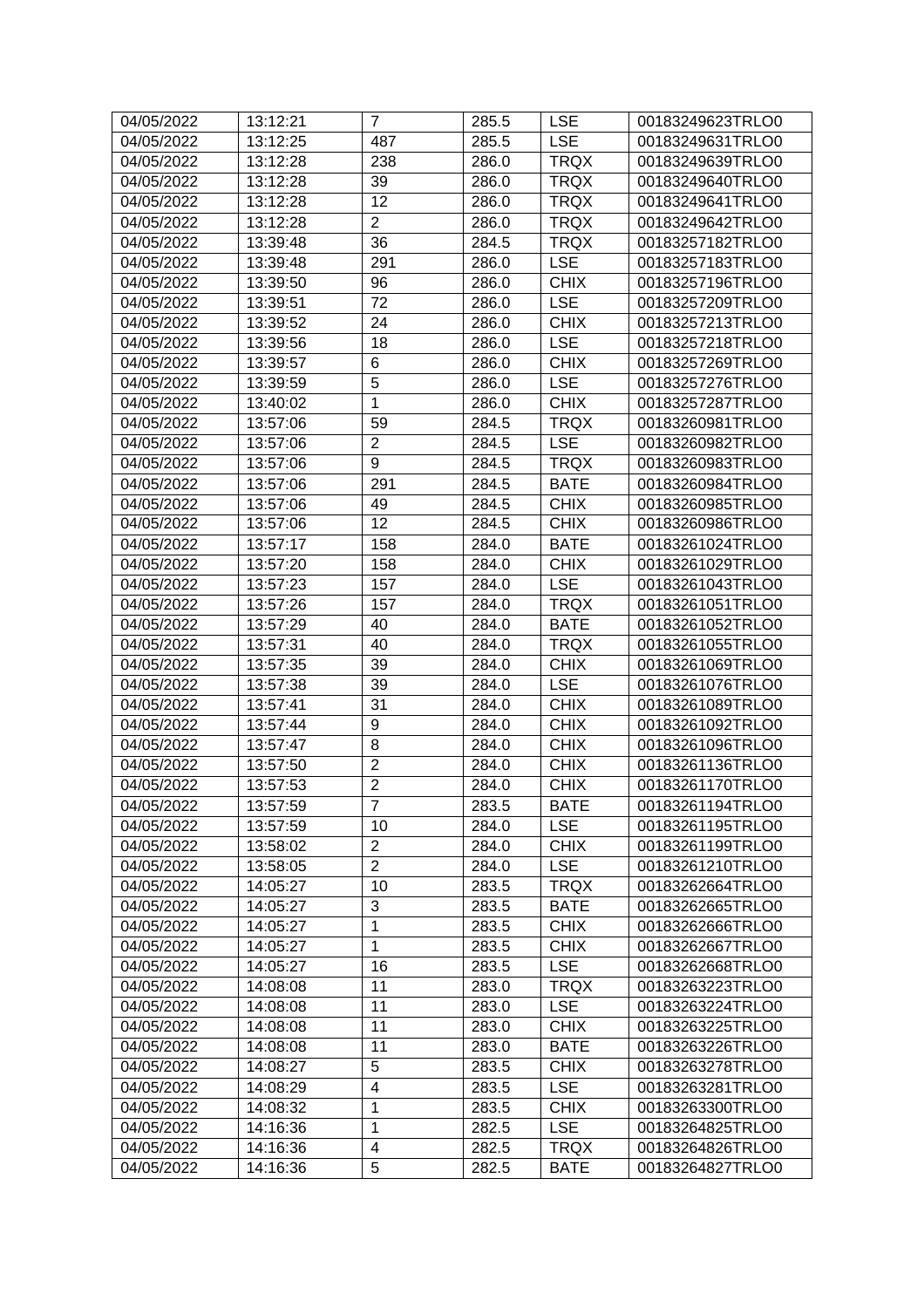| 04/05/2022 | 13:12:21 | $\overline{7}$ | 285.5 | <b>LSE</b>  | 00183249623TRLO0 |
|------------|----------|----------------|-------|-------------|------------------|
| 04/05/2022 | 13:12:25 | 487            | 285.5 | <b>LSE</b>  | 00183249631TRLO0 |
| 04/05/2022 | 13:12:28 | 238            | 286.0 | <b>TRQX</b> | 00183249639TRLO0 |
| 04/05/2022 | 13:12:28 | 39             | 286.0 | <b>TRQX</b> | 00183249640TRLO0 |
| 04/05/2022 | 13:12:28 | 12             | 286.0 | <b>TRQX</b> | 00183249641TRLO0 |
| 04/05/2022 | 13:12:28 | $\overline{2}$ | 286.0 | <b>TRQX</b> | 00183249642TRLO0 |
| 04/05/2022 | 13:39:48 | 36             | 284.5 | <b>TRQX</b> | 00183257182TRLO0 |
| 04/05/2022 | 13:39:48 | 291            | 286.0 | <b>LSE</b>  | 00183257183TRLO0 |
| 04/05/2022 | 13:39:50 | 96             | 286.0 | <b>CHIX</b> | 00183257196TRLO0 |
| 04/05/2022 | 13:39:51 | 72             | 286.0 | <b>LSE</b>  | 00183257209TRLO0 |
| 04/05/2022 | 13:39:52 | 24             | 286.0 | <b>CHIX</b> | 00183257213TRLO0 |
| 04/05/2022 | 13:39:56 | 18             | 286.0 | <b>LSE</b>  | 00183257218TRLO0 |
| 04/05/2022 | 13:39:57 | 6              | 286.0 | <b>CHIX</b> | 00183257269TRLO0 |
| 04/05/2022 | 13:39:59 | $\overline{5}$ | 286.0 | <b>LSE</b>  | 00183257276TRLO0 |
| 04/05/2022 | 13:40:02 | 1              | 286.0 | <b>CHIX</b> | 00183257287TRLO0 |
| 04/05/2022 | 13:57:06 | 59             | 284.5 | <b>TRQX</b> | 00183260981TRLO0 |
| 04/05/2022 | 13:57:06 | $\overline{2}$ | 284.5 | <b>LSE</b>  | 00183260982TRLO0 |
| 04/05/2022 | 13:57:06 | 9              | 284.5 | <b>TRQX</b> | 00183260983TRLO0 |
| 04/05/2022 | 13:57:06 | 291            | 284.5 | <b>BATE</b> | 00183260984TRLO0 |
| 04/05/2022 | 13:57:06 | 49             | 284.5 | <b>CHIX</b> | 00183260985TRLO0 |
| 04/05/2022 | 13:57:06 | 12             | 284.5 | <b>CHIX</b> | 00183260986TRLO0 |
| 04/05/2022 | 13:57:17 | 158            | 284.0 | <b>BATE</b> | 00183261024TRLO0 |
| 04/05/2022 | 13:57:20 | 158            | 284.0 | <b>CHIX</b> | 00183261029TRLO0 |
| 04/05/2022 | 13:57:23 | 157            | 284.0 | <b>LSE</b>  | 00183261043TRLO0 |
| 04/05/2022 | 13:57:26 | 157            | 284.0 | <b>TRQX</b> | 00183261051TRLO0 |
| 04/05/2022 | 13:57:29 | 40             | 284.0 | <b>BATE</b> | 00183261052TRLO0 |
| 04/05/2022 | 13:57:31 | 40             | 284.0 | <b>TRQX</b> | 00183261055TRLO0 |
| 04/05/2022 | 13:57:35 | 39             | 284.0 | <b>CHIX</b> | 00183261069TRLO0 |
| 04/05/2022 | 13:57:38 | 39             | 284.0 | <b>LSE</b>  | 00183261076TRLO0 |
| 04/05/2022 | 13:57:41 | 31             | 284.0 | <b>CHIX</b> | 00183261089TRLO0 |
| 04/05/2022 | 13:57:44 | 9              | 284.0 | <b>CHIX</b> | 00183261092TRLO0 |
| 04/05/2022 | 13:57:47 | 8              | 284.0 | <b>CHIX</b> | 00183261096TRLO0 |
| 04/05/2022 | 13:57:50 | $\overline{2}$ | 284.0 | <b>CHIX</b> | 00183261136TRLO0 |
| 04/05/2022 | 13:57:53 | $\overline{2}$ | 284.0 | <b>CHIX</b> | 00183261170TRLO0 |
| 04/05/2022 | 13:57:59 | $\overline{7}$ | 283.5 | <b>BATE</b> | 00183261194TRLO0 |
| 04/05/2022 | 13:57:59 | 10             | 284.0 | <b>LSE</b>  | 00183261195TRLO0 |
| 04/05/2022 | 13:58:02 | $\overline{2}$ | 284.0 | <b>CHIX</b> | 00183261199TRLO0 |
| 04/05/2022 | 13:58:05 | $\overline{2}$ | 284.0 | <b>LSE</b>  | 00183261210TRLO0 |
| 04/05/2022 | 14:05:27 | 10             | 283.5 | <b>TRQX</b> | 00183262664TRLO0 |
| 04/05/2022 | 14:05:27 | 3              | 283.5 | <b>BATE</b> | 00183262665TRLO0 |
| 04/05/2022 | 14:05:27 | 1              | 283.5 | <b>CHIX</b> | 00183262666TRLO0 |
| 04/05/2022 | 14:05:27 | $\mathbf{1}$   | 283.5 | <b>CHIX</b> | 00183262667TRLO0 |
| 04/05/2022 | 14:05:27 | 16             | 283.5 | <b>LSE</b>  | 00183262668TRLO0 |
| 04/05/2022 | 14:08:08 | 11             | 283.0 | <b>TRQX</b> | 00183263223TRLO0 |
| 04/05/2022 | 14:08:08 | 11             | 283.0 | <b>LSE</b>  | 00183263224TRLO0 |
| 04/05/2022 | 14:08:08 | 11             | 283.0 | <b>CHIX</b> | 00183263225TRLO0 |
| 04/05/2022 | 14:08:08 | 11             | 283.0 | <b>BATE</b> | 00183263226TRLO0 |
| 04/05/2022 | 14:08:27 | 5              | 283.5 | <b>CHIX</b> | 00183263278TRLO0 |
| 04/05/2022 | 14:08:29 | 4              | 283.5 | <b>LSE</b>  | 00183263281TRLO0 |
| 04/05/2022 | 14:08:32 | 1              | 283.5 | <b>CHIX</b> | 00183263300TRLO0 |
| 04/05/2022 | 14:16:36 | 1              | 282.5 | <b>LSE</b>  | 00183264825TRLO0 |
| 04/05/2022 | 14:16:36 | 4              | 282.5 | <b>TRQX</b> | 00183264826TRLO0 |
| 04/05/2022 | 14:16:36 | 5              | 282.5 | <b>BATE</b> | 00183264827TRLO0 |
|            |          |                |       |             |                  |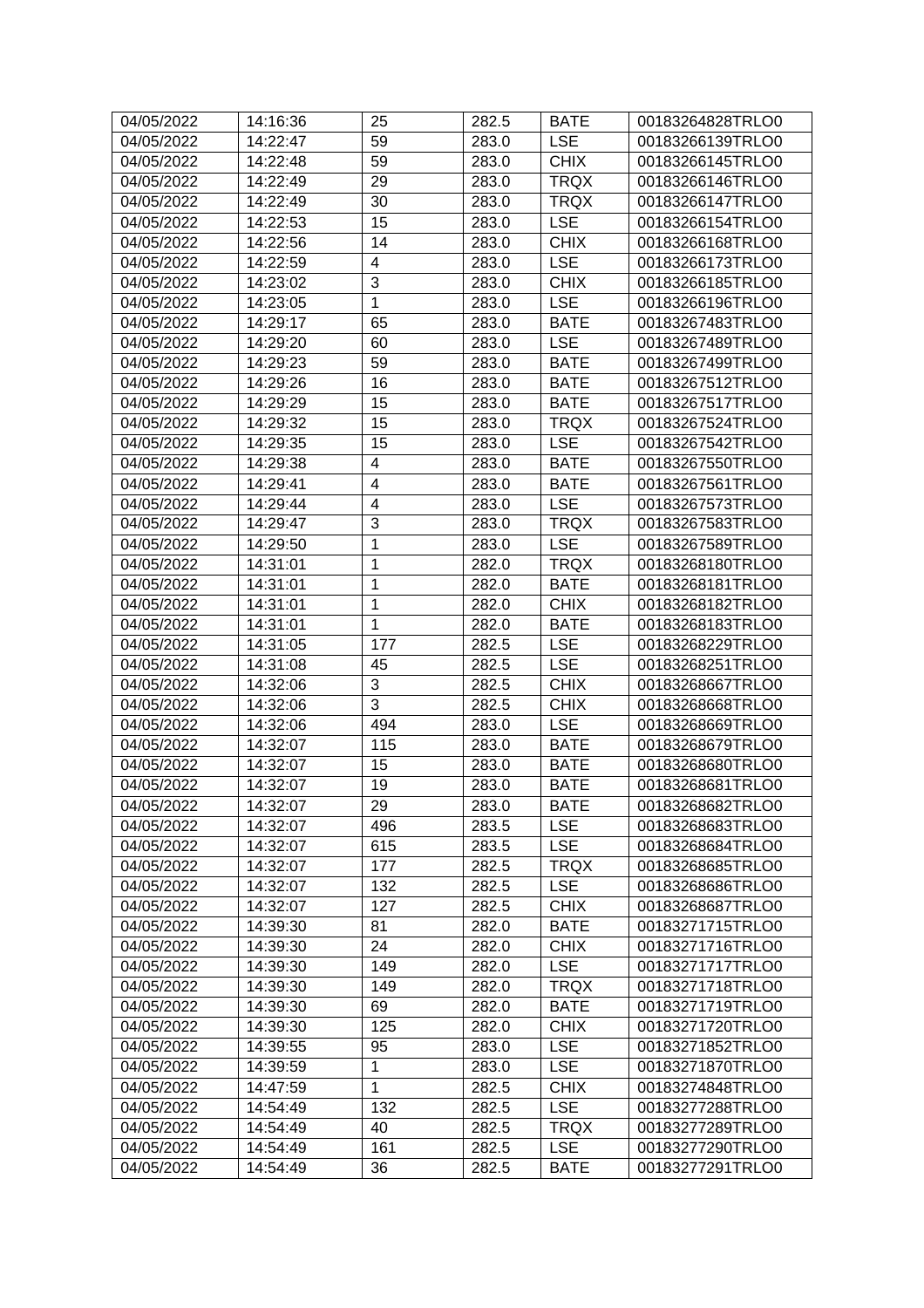| 04/05/2022 | 14:16:36 | 25                      | 282.5 | <b>BATE</b> | 00183264828TRLO0 |
|------------|----------|-------------------------|-------|-------------|------------------|
| 04/05/2022 | 14:22:47 | 59                      | 283.0 | <b>LSE</b>  | 00183266139TRLO0 |
| 04/05/2022 | 14:22:48 | 59                      | 283.0 | <b>CHIX</b> | 00183266145TRLO0 |
| 04/05/2022 | 14:22:49 | 29                      | 283.0 | <b>TRQX</b> | 00183266146TRLO0 |
| 04/05/2022 | 14:22:49 | 30                      | 283.0 | <b>TRQX</b> | 00183266147TRLO0 |
| 04/05/2022 | 14:22:53 | 15                      | 283.0 | <b>LSE</b>  | 00183266154TRLO0 |
| 04/05/2022 | 14:22:56 | 14                      | 283.0 | <b>CHIX</b> | 00183266168TRLO0 |
| 04/05/2022 | 14:22:59 | 4                       | 283.0 | <b>LSE</b>  | 00183266173TRLO0 |
| 04/05/2022 | 14:23:02 | 3                       | 283.0 | <b>CHIX</b> | 00183266185TRLO0 |
| 04/05/2022 | 14:23:05 | 1                       | 283.0 | <b>LSE</b>  | 00183266196TRLO0 |
| 04/05/2022 | 14:29:17 | 65                      | 283.0 | <b>BATE</b> | 00183267483TRLO0 |
| 04/05/2022 | 14:29:20 | 60                      | 283.0 | <b>LSE</b>  | 00183267489TRLO0 |
| 04/05/2022 | 14:29:23 | 59                      | 283.0 | <b>BATE</b> | 00183267499TRLO0 |
| 04/05/2022 | 14:29:26 | 16                      | 283.0 | <b>BATE</b> | 00183267512TRLO0 |
| 04/05/2022 | 14:29:29 | 15                      | 283.0 | <b>BATE</b> | 00183267517TRLO0 |
| 04/05/2022 | 14:29:32 | 15                      | 283.0 | <b>TRQX</b> | 00183267524TRLO0 |
| 04/05/2022 | 14:29:35 | 15                      | 283.0 | <b>LSE</b>  | 00183267542TRLO0 |
| 04/05/2022 | 14:29:38 | 4                       | 283.0 | <b>BATE</b> | 00183267550TRLO0 |
| 04/05/2022 | 14:29:41 | $\overline{\mathbf{4}}$ | 283.0 | <b>BATE</b> | 00183267561TRLO0 |
| 04/05/2022 | 14:29:44 | $\overline{\mathbf{4}}$ | 283.0 | <b>LSE</b>  | 00183267573TRLO0 |
| 04/05/2022 | 14:29:47 | $\overline{3}$          | 283.0 | <b>TRQX</b> | 00183267583TRLO0 |
| 04/05/2022 | 14:29:50 | 1                       | 283.0 | <b>LSE</b>  | 00183267589TRLO0 |
| 04/05/2022 | 14:31:01 | 1                       | 282.0 | <b>TRQX</b> | 00183268180TRLO0 |
| 04/05/2022 | 14:31:01 | 1                       | 282.0 | <b>BATE</b> | 00183268181TRLO0 |
| 04/05/2022 | 14:31:01 | 1                       | 282.0 | <b>CHIX</b> | 00183268182TRLO0 |
| 04/05/2022 | 14:31:01 | 1                       | 282.0 | <b>BATE</b> | 00183268183TRLO0 |
| 04/05/2022 | 14:31:05 | 177                     | 282.5 | <b>LSE</b>  | 00183268229TRLO0 |
| 04/05/2022 | 14:31:08 | 45                      | 282.5 | <b>LSE</b>  | 00183268251TRLO0 |
| 04/05/2022 | 14:32:06 | 3                       | 282.5 | <b>CHIX</b> | 00183268667TRLO0 |
| 04/05/2022 | 14:32:06 | 3                       | 282.5 | <b>CHIX</b> | 00183268668TRLO0 |
| 04/05/2022 | 14:32:06 | 494                     | 283.0 | <b>LSE</b>  | 00183268669TRLO0 |
| 04/05/2022 | 14:32:07 | 115                     | 283.0 | <b>BATE</b> | 00183268679TRLO0 |
| 04/05/2022 | 14:32:07 | 15                      | 283.0 | <b>BATE</b> | 00183268680TRLO0 |
| 04/05/2022 | 14:32:07 | 19                      | 283.0 | <b>BATE</b> | 00183268681TRLO0 |
| 04/05/2022 | 14:32:07 | 29                      | 283.0 | <b>BATE</b> | 00183268682TRLO0 |
| 04/05/2022 | 14:32:07 | 496                     | 283.5 | <b>LSE</b>  | 00183268683TRLO0 |
| 04/05/2022 | 14:32:07 | 615                     | 283.5 | <b>LSE</b>  | 00183268684TRLO0 |
| 04/05/2022 | 14:32:07 | 177                     | 282.5 | <b>TRQX</b> | 00183268685TRLO0 |
| 04/05/2022 | 14:32:07 | 132                     | 282.5 | <b>LSE</b>  | 00183268686TRLO0 |
| 04/05/2022 | 14:32:07 | 127                     | 282.5 | <b>CHIX</b> | 00183268687TRLO0 |
| 04/05/2022 | 14:39:30 | 81                      | 282.0 | <b>BATE</b> | 00183271715TRLO0 |
| 04/05/2022 | 14:39:30 | 24                      | 282.0 | <b>CHIX</b> | 00183271716TRLO0 |
| 04/05/2022 | 14:39:30 | 149                     | 282.0 | <b>LSE</b>  | 00183271717TRLO0 |
| 04/05/2022 | 14:39:30 | 149                     | 282.0 | <b>TRQX</b> | 00183271718TRLO0 |
| 04/05/2022 | 14:39:30 | 69                      | 282.0 | <b>BATE</b> | 00183271719TRLO0 |
| 04/05/2022 | 14:39:30 | 125                     | 282.0 | <b>CHIX</b> | 00183271720TRLO0 |
| 04/05/2022 | 14:39:55 | 95                      | 283.0 | <b>LSE</b>  | 00183271852TRLO0 |
| 04/05/2022 | 14:39:59 | $\mathbf 1$             | 283.0 | <b>LSE</b>  | 00183271870TRLO0 |
| 04/05/2022 | 14:47:59 | $\mathbf{1}$            | 282.5 | <b>CHIX</b> | 00183274848TRLO0 |
| 04/05/2022 | 14:54:49 | 132                     | 282.5 | <b>LSE</b>  | 00183277288TRLO0 |
| 04/05/2022 | 14:54:49 | 40                      | 282.5 | <b>TRQX</b> | 00183277289TRLO0 |
| 04/05/2022 | 14:54:49 | 161                     | 282.5 | <b>LSE</b>  | 00183277290TRLO0 |
| 04/05/2022 | 14:54:49 | 36                      | 282.5 | <b>BATE</b> | 00183277291TRLO0 |
|            |          |                         |       |             |                  |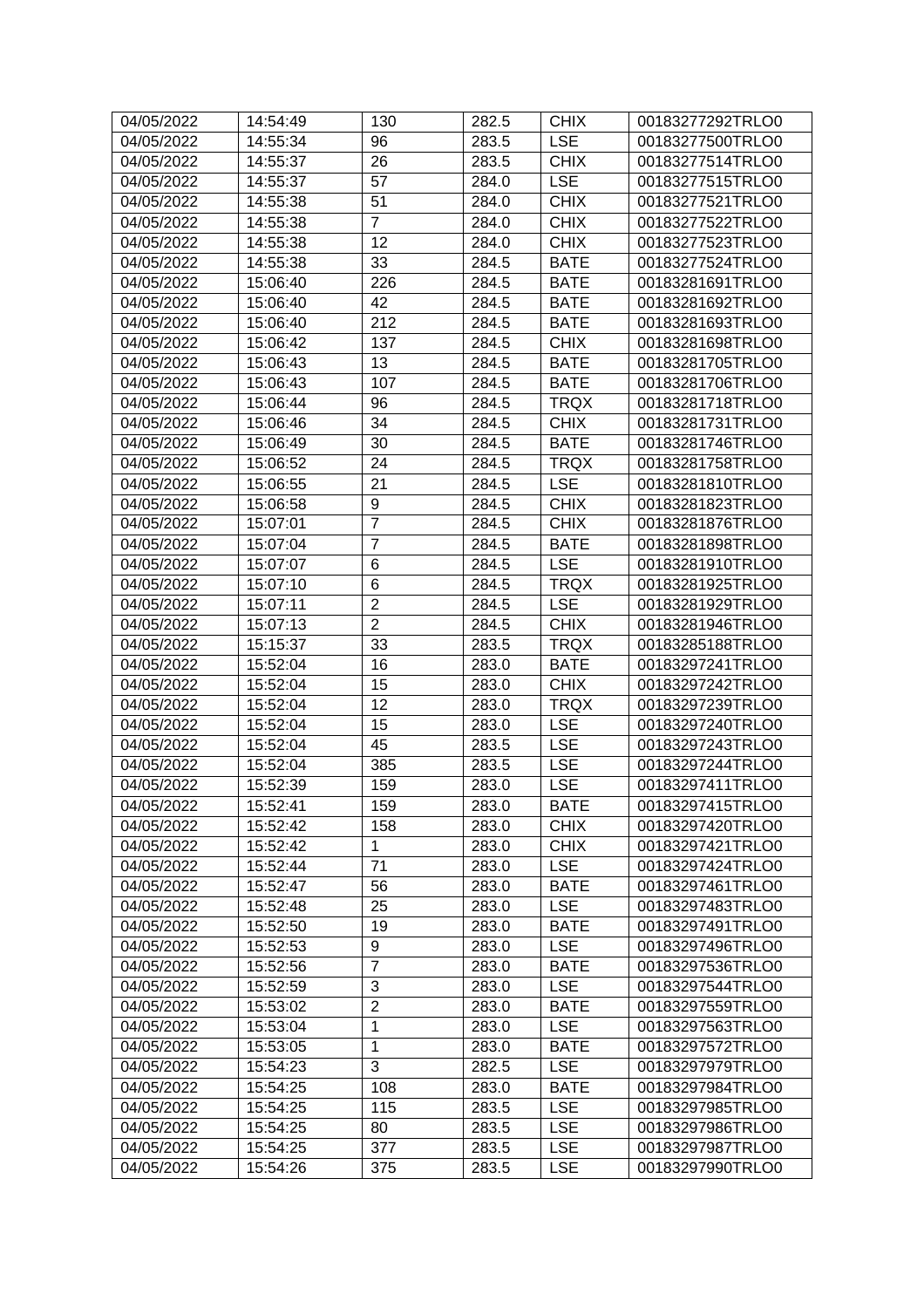| 04/05/2022 | 14:54:49 | 130            | 282.5 | <b>CHIX</b> | 00183277292TRLO0 |
|------------|----------|----------------|-------|-------------|------------------|
| 04/05/2022 | 14:55:34 | 96             | 283.5 | <b>LSE</b>  | 00183277500TRLO0 |
| 04/05/2022 | 14:55:37 | 26             | 283.5 | <b>CHIX</b> | 00183277514TRLO0 |
| 04/05/2022 | 14:55:37 | 57             | 284.0 | <b>LSE</b>  | 00183277515TRLO0 |
| 04/05/2022 | 14:55:38 | 51             | 284.0 | <b>CHIX</b> | 00183277521TRLO0 |
| 04/05/2022 | 14:55:38 | $\overline{7}$ | 284.0 | <b>CHIX</b> | 00183277522TRLO0 |
| 04/05/2022 | 14:55:38 | 12             | 284.0 | <b>CHIX</b> | 00183277523TRLO0 |
| 04/05/2022 | 14:55:38 | 33             | 284.5 | <b>BATE</b> | 00183277524TRLO0 |
| 04/05/2022 | 15:06:40 | 226            | 284.5 | <b>BATE</b> | 00183281691TRLO0 |
| 04/05/2022 | 15:06:40 | 42             | 284.5 | <b>BATE</b> | 00183281692TRLO0 |
| 04/05/2022 | 15:06:40 | 212            | 284.5 | <b>BATE</b> | 00183281693TRLO0 |
| 04/05/2022 | 15:06:42 | 137            | 284.5 | <b>CHIX</b> | 00183281698TRLO0 |
| 04/05/2022 | 15:06:43 | 13             | 284.5 | <b>BATE</b> | 00183281705TRLO0 |
| 04/05/2022 | 15:06:43 | 107            | 284.5 | <b>BATE</b> | 00183281706TRLO0 |
| 04/05/2022 | 15:06:44 | 96             | 284.5 | <b>TRQX</b> | 00183281718TRLO0 |
| 04/05/2022 | 15:06:46 | 34             | 284.5 | <b>CHIX</b> | 00183281731TRLO0 |
| 04/05/2022 | 15:06:49 | 30             | 284.5 | <b>BATE</b> | 00183281746TRLO0 |
| 04/05/2022 | 15:06:52 | 24             | 284.5 | <b>TRQX</b> | 00183281758TRLO0 |
| 04/05/2022 | 15:06:55 | 21             | 284.5 | <b>LSE</b>  | 00183281810TRLO0 |
| 04/05/2022 | 15:06:58 | 9              | 284.5 | <b>CHIX</b> | 00183281823TRLO0 |
| 04/05/2022 | 15:07:01 | $\overline{7}$ | 284.5 | <b>CHIX</b> | 00183281876TRLO0 |
| 04/05/2022 | 15:07:04 | $\overline{7}$ | 284.5 | <b>BATE</b> | 00183281898TRLO0 |
| 04/05/2022 | 15:07:07 | 6              | 284.5 | <b>LSE</b>  | 00183281910TRLO0 |
| 04/05/2022 | 15:07:10 | 6              | 284.5 | <b>TRQX</b> | 00183281925TRLO0 |
| 04/05/2022 | 15:07:11 | $\overline{c}$ | 284.5 | <b>LSE</b>  | 00183281929TRLO0 |
| 04/05/2022 | 15:07:13 | $\overline{2}$ | 284.5 | <b>CHIX</b> | 00183281946TRLO0 |
| 04/05/2022 | 15:15:37 | 33             | 283.5 | <b>TRQX</b> | 00183285188TRLO0 |
| 04/05/2022 | 15:52:04 | 16             | 283.0 | <b>BATE</b> | 00183297241TRLO0 |
| 04/05/2022 | 15:52:04 | 15             | 283.0 | <b>CHIX</b> | 00183297242TRLO0 |
| 04/05/2022 | 15:52:04 | 12             | 283.0 | <b>TRQX</b> | 00183297239TRLO0 |
| 04/05/2022 | 15:52:04 | 15             | 283.0 | <b>LSE</b>  | 00183297240TRLO0 |
| 04/05/2022 | 15:52:04 | 45             | 283.5 | <b>LSE</b>  | 00183297243TRLO0 |
| 04/05/2022 | 15:52:04 | 385            | 283.5 | <b>LSE</b>  | 00183297244TRLO0 |
| 04/05/2022 | 15:52:39 | 159            | 283.0 | <b>LSE</b>  | 00183297411TRLO0 |
| 04/05/2022 | 15:52:41 | 159            | 283.0 | <b>BATE</b> | 00183297415TRLO0 |
| 04/05/2022 | 15:52:42 | 158            | 283.0 | <b>CHIX</b> | 00183297420TRLO0 |
| 04/05/2022 | 15:52:42 | 1              | 283.0 | <b>CHIX</b> | 00183297421TRLO0 |
| 04/05/2022 | 15:52:44 | 71             | 283.0 | LSE         | 00183297424TRLO0 |
| 04/05/2022 | 15:52:47 | 56             | 283.0 | <b>BATE</b> | 00183297461TRLO0 |
| 04/05/2022 | 15:52:48 | 25             | 283.0 | <b>LSE</b>  | 00183297483TRLO0 |
| 04/05/2022 | 15:52:50 | 19             | 283.0 | <b>BATE</b> | 00183297491TRLO0 |
| 04/05/2022 | 15:52:53 | 9              | 283.0 | <b>LSE</b>  | 00183297496TRLO0 |
| 04/05/2022 | 15:52:56 | $\overline{7}$ | 283.0 | <b>BATE</b> | 00183297536TRLO0 |
| 04/05/2022 | 15:52:59 | 3              | 283.0 | <b>LSE</b>  | 00183297544TRLO0 |
| 04/05/2022 | 15:53:02 | $\overline{c}$ | 283.0 | <b>BATE</b> | 00183297559TRLO0 |
| 04/05/2022 | 15:53:04 | 1              | 283.0 | <b>LSE</b>  | 00183297563TRLO0 |
| 04/05/2022 | 15:53:05 | $\mathbf{1}$   | 283.0 | <b>BATE</b> | 00183297572TRLO0 |
| 04/05/2022 | 15:54:23 | 3              | 282.5 | <b>LSE</b>  | 00183297979TRLO0 |
| 04/05/2022 | 15:54:25 | 108            | 283.0 | <b>BATE</b> | 00183297984TRLO0 |
| 04/05/2022 | 15:54:25 | 115            | 283.5 | <b>LSE</b>  | 00183297985TRLO0 |
| 04/05/2022 | 15:54:25 | 80             | 283.5 | <b>LSE</b>  | 00183297986TRLO0 |
| 04/05/2022 | 15:54:25 | 377            | 283.5 | <b>LSE</b>  | 00183297987TRLO0 |
| 04/05/2022 | 15:54:26 | 375            | 283.5 | <b>LSE</b>  | 00183297990TRLO0 |
|            |          |                |       |             |                  |